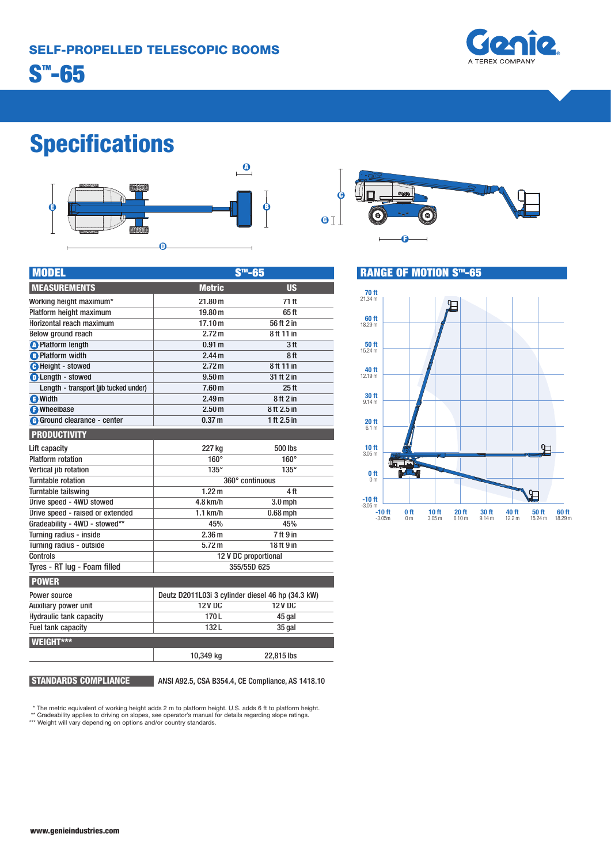

# **Specifications**





## **RANGE OF MOTION S™-65**



| <b>MODEL</b>                          | $S^{\text{m}}$ -65                                |                  |  |
|---------------------------------------|---------------------------------------------------|------------------|--|
| <b>MEASUREMENTS</b>                   | <b>Metric</b>                                     | <b>US</b>        |  |
| Working height maximum*               | 21.80 m                                           | 71 ft            |  |
| Platform height maximum               | 19.80 m                                           | 65ft             |  |
| Horizontal reach maximum              | 17.10 m                                           | 56 ft 2 in       |  |
| <b>Below ground reach</b>             | 2.72 <sub>m</sub>                                 | 8 ft 11 in       |  |
| <b>O</b> Platform length              | 0.91 <sub>m</sub>                                 | 3 ft             |  |
| <b>B</b> Platform width               | 2.44 <sub>m</sub>                                 | 8ft              |  |
| <b>O</b> Height - stowed              | 2.72 m                                            | 8ft 11 in        |  |
| <b>O</b> Length - stowed              | 9.50 <sub>m</sub>                                 | 31 ft 2 in       |  |
| Length - transport (jib tucked under) | 7.60 <sub>m</sub>                                 | 25 <sub>ft</sub> |  |
| <b>O</b> Width                        | 2.49 <sub>m</sub>                                 | 8ft2in           |  |
| <b>O</b> Wheelbase                    | 2.50 <sub>m</sub>                                 | 8 ft 2.5 in      |  |
| <b>G</b> Ground clearance - center    | 0.37 <sub>m</sub>                                 | 1 ft 2.5 in      |  |
| <b>PRODUCTIVITY</b>                   |                                                   |                  |  |
| Lift capacity                         | 227 kg                                            | 500 lbs          |  |
| <b>Platform rotation</b>              | 160°                                              | $160^\circ$      |  |
| Vertical jib rotation                 | $135^\circ$                                       | $135^\circ$      |  |
| <b>Turntable rotation</b>             | 360° continuous                                   |                  |  |
| Turntable tailswing                   | 1.22 <sub>m</sub>                                 | 4 ft             |  |
| Drive speed - 4WD stowed              | 4.8 km/h                                          | $3.0$ mph        |  |
| Drive speed - raised or extended      | $1.1$ km/h                                        | $0.68$ mph       |  |
| Gradeability - 4WD - stowed**         | 45%                                               | 45%              |  |
| Turning radius - inside               | 2.36 <sub>m</sub>                                 | 7 ft 9 in        |  |
| Turning radius - outside              | 5.72 <sub>m</sub>                                 | 18ft 9 in        |  |
| Controls                              | 12 V DC proportional                              |                  |  |
| Tyres - RT lug - Foam filled          | 355/55D 625                                       |                  |  |
| <b>POWER</b>                          |                                                   |                  |  |
| Power source                          | Deutz D2011L03i 3 cylinder diesel 46 hp (34.3 kW) |                  |  |
| Auxiliary power unit                  | <b>12VDC</b>                                      | <b>12VDC</b>     |  |
| <b>Hydraulic tank capacity</b>        | 170L                                              | 45 gal           |  |
| Fuel tank capacity                    | 132L                                              | 35 gal           |  |
| WEIGHT***                             |                                                   |                  |  |
|                                       | 10,349 kg                                         | 22,815 lbs       |  |
|                                       |                                                   |                  |  |

**STANDARDS COMPLIANCE** ANSI A92.5, CSA B354.4, CE Compliance, AS 1418.10

\* The metric equivalent of working height adds 2 m to platform height. U.S. adds 6 ft to platform height.<br>\*\* Gradeability applies to driving on slopes, see operator's manual for details regarding slope ratings.<br>\*\*\* Weight